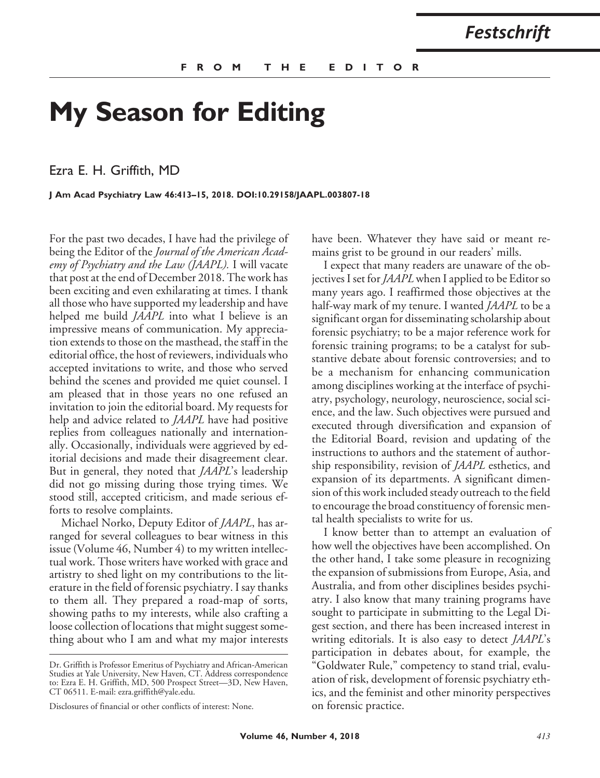## **My Season for Editing**

Ezra E. H. Griffith, MD

**J Am Acad Psychiatry Law 46:413–15, 2018. DOI:10.29158/JAAPL.003807-18**

For the past two decades, I have had the privilege of being the Editor of the *Journal of the American Academy of Psychiatry and the Law (JAAPL).* I will vacate that post at the end of December 2018. The work has been exciting and even exhilarating at times. I thank all those who have supported my leadership and have helped me build *JAAPL* into what I believe is an impressive means of communication. My appreciation extends to those on the masthead, the staff in the editorial office, the host of reviewers, individuals who accepted invitations to write, and those who served behind the scenes and provided me quiet counsel. I am pleased that in those years no one refused an invitation to join the editorial board. My requests for help and advice related to *JAAPL* have had positive replies from colleagues nationally and internationally. Occasionally, individuals were aggrieved by editorial decisions and made their disagreement clear. But in general, they noted that *JAAPL*'s leadership did not go missing during those trying times. We stood still, accepted criticism, and made serious efforts to resolve complaints.

Michael Norko, Deputy Editor of *JAAPL*, has arranged for several colleagues to bear witness in this issue (Volume 46, Number 4) to my written intellectual work. Those writers have worked with grace and artistry to shed light on my contributions to the literature in the field of forensic psychiatry. I say thanks to them all. They prepared a road-map of sorts, showing paths to my interests, while also crafting a loose collection of locations that might suggest something about who I am and what my major interests have been. Whatever they have said or meant remains grist to be ground in our readers' mills.

I expect that many readers are unaware of the objectives I set for *JAAPL* when I applied to be Editor so many years ago. I reaffirmed those objectives at the half-way mark of my tenure. I wanted *JAAPL* to be a significant organ for disseminating scholarship about forensic psychiatry; to be a major reference work for forensic training programs; to be a catalyst for substantive debate about forensic controversies; and to be a mechanism for enhancing communication among disciplines working at the interface of psychiatry, psychology, neurology, neuroscience, social science, and the law. Such objectives were pursued and executed through diversification and expansion of the Editorial Board, revision and updating of the instructions to authors and the statement of authorship responsibility, revision of *JAAPL* esthetics, and expansion of its departments. A significant dimension of this work included steady outreach to the field to encourage the broad constituency of forensic mental health specialists to write for us.

I know better than to attempt an evaluation of how well the objectives have been accomplished. On the other hand, I take some pleasure in recognizing the expansion of submissions from Europe, Asia, and Australia, and from other disciplines besides psychiatry. I also know that many training programs have sought to participate in submitting to the Legal Digest section, and there has been increased interest in writing editorials. It is also easy to detect *JAAPL*'s participation in debates about, for example, the "Goldwater Rule," competency to stand trial, evaluation of risk, development of forensic psychiatry ethics, and the feminist and other minority perspectives on forensic practice.

Dr. Griffith is Professor Emeritus of Psychiatry and African-American Studies at Yale University, New Haven, CT. Address correspondence to: Ezra E. H. Griffith, MD, 500 Prospect Street—3D, New Haven, CT 06511. E-mail: ezra.griffith@yale.edu.

Disclosures of financial or other conflicts of interest: None.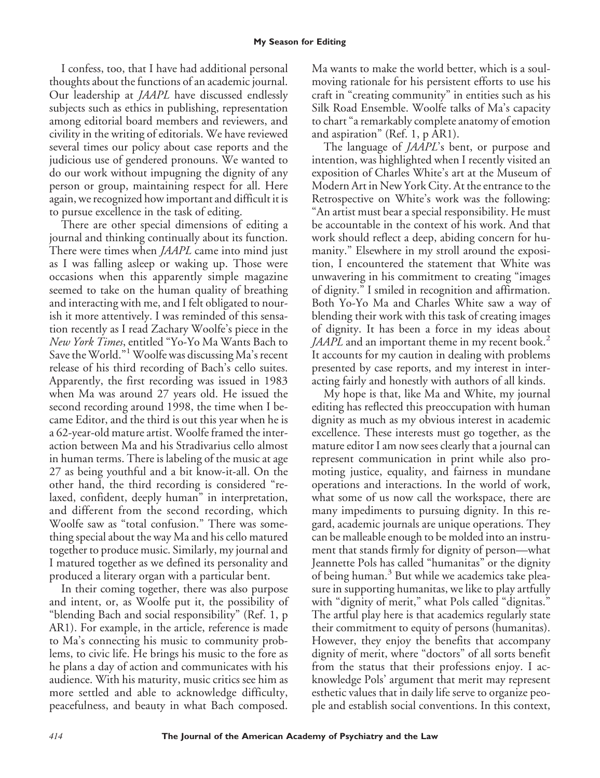## **My Season for Editing**

I confess, too, that I have had additional personal thoughts about the functions of an academic journal. Our leadership at *JAAPL* have discussed endlessly subjects such as ethics in publishing, representation among editorial board members and reviewers, and civility in the writing of editorials. We have reviewed several times our policy about case reports and the judicious use of gendered pronouns. We wanted to do our work without impugning the dignity of any person or group, maintaining respect for all. Here again, we recognized how important and difficult it is to pursue excellence in the task of editing.

There are other special dimensions of editing a journal and thinking continually about its function. There were times when *JAAPL* came into mind just as I was falling asleep or waking up. Those were occasions when this apparently simple magazine seemed to take on the human quality of breathing and interacting with me, and I felt obligated to nourish it more attentively. I was reminded of this sensation recently as I read Zachary Woolfe's piece in the *New York Times*, entitled "Yo-Yo Ma Wants Bach to Save the World."<sup>1</sup> Woolfe was discussing Ma's recent release of his third recording of Bach's cello suites. Apparently, the first recording was issued in 1983 when Ma was around 27 years old. He issued the second recording around 1998, the time when I became Editor, and the third is out this year when he is a 62-year-old mature artist. Woolfe framed the interaction between Ma and his Stradivarius cello almost in human terms. There is labeling of the music at age 27 as being youthful and a bit know-it-all. On the other hand, the third recording is considered "relaxed, confident, deeply human" in interpretation, and different from the second recording, which Woolfe saw as "total confusion." There was something special about the way Ma and his cello matured together to produce music. Similarly, my journal and I matured together as we defined its personality and produced a literary organ with a particular bent.

In their coming together, there was also purpose and intent, or, as Woolfe put it, the possibility of "blending Bach and social responsibility" (Ref. 1, p AR1). For example, in the article, reference is made to Ma's connecting his music to community problems, to civic life. He brings his music to the fore as he plans a day of action and communicates with his audience. With his maturity, music critics see him as more settled and able to acknowledge difficulty, peacefulness, and beauty in what Bach composed.

Ma wants to make the world better, which is a soulmoving rationale for his persistent efforts to use his craft in "creating community" in entities such as his Silk Road Ensemble. Woolfe talks of Ma's capacity to chart "a remarkably complete anatomy of emotion and aspiration" (Ref. 1, p AR1).

The language of *JAAPL*'s bent, or purpose and intention, was highlighted when I recently visited an exposition of Charles White's art at the Museum of Modern Art in New York City. At the entrance to the Retrospective on White's work was the following: "An artist must bear a special responsibility. He must be accountable in the context of his work. And that work should reflect a deep, abiding concern for humanity." Elsewhere in my stroll around the exposition, I encountered the statement that White was unwavering in his commitment to creating "images of dignity." I smiled in recognition and affirmation. Both Yo-Yo Ma and Charles White saw a way of blending their work with this task of creating images of dignity. It has been a force in my ideas about *JAAPL* and an important theme in my recent book.<sup>2</sup> It accounts for my caution in dealing with problems presented by case reports, and my interest in interacting fairly and honestly with authors of all kinds.

My hope is that, like Ma and White, my journal editing has reflected this preoccupation with human dignity as much as my obvious interest in academic excellence. These interests must go together, as the mature editor I am now sees clearly that a journal can represent communication in print while also promoting justice, equality, and fairness in mundane operations and interactions. In the world of work, what some of us now call the workspace, there are many impediments to pursuing dignity. In this regard, academic journals are unique operations. They can be malleable enough to be molded into an instrument that stands firmly for dignity of person—what Jeannette Pols has called "humanitas" or the dignity of being human.<sup>3</sup> But while we academics take pleasure in supporting humanitas, we like to play artfully with "dignity of merit," what Pols called "dignitas." The artful play here is that academics regularly state their commitment to equity of persons (humanitas). However, they enjoy the benefits that accompany dignity of merit, where "doctors" of all sorts benefit from the status that their professions enjoy. I acknowledge Pols' argument that merit may represent esthetic values that in daily life serve to organize people and establish social conventions. In this context,